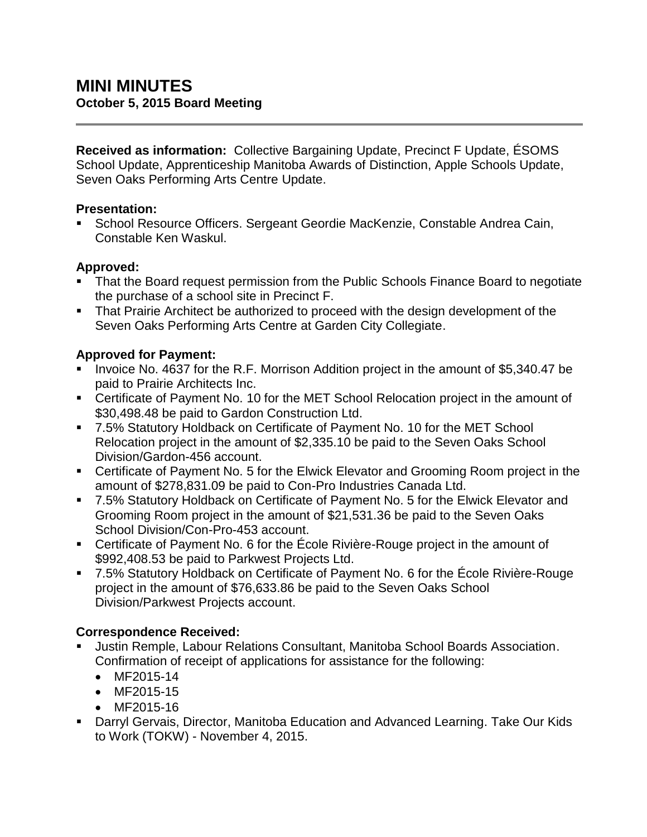**Received as information:** Collective Bargaining Update, Precinct F Update, ÉSOMS School Update, Apprenticeship Manitoba Awards of Distinction, Apple Schools Update, Seven Oaks Performing Arts Centre Update.

### **Presentation:**

 School Resource Officers. Sergeant Geordie MacKenzie, Constable Andrea Cain, Constable Ken Waskul.

### **Approved:**

- That the Board request permission from the Public Schools Finance Board to negotiate the purchase of a school site in Precinct F.
- **That Prairie Architect be authorized to proceed with the design development of the** Seven Oaks Performing Arts Centre at Garden City Collegiate.

## **Approved for Payment:**

- Invoice No. 4637 for the R.F. Morrison Addition project in the amount of \$5,340.47 be paid to Prairie Architects Inc.
- Certificate of Payment No. 10 for the MET School Relocation project in the amount of \$30,498.48 be paid to Gardon Construction Ltd.
- 7.5% Statutory Holdback on Certificate of Payment No. 10 for the MET School Relocation project in the amount of \$2,335.10 be paid to the Seven Oaks School Division/Gardon-456 account.
- Certificate of Payment No. 5 for the Elwick Elevator and Grooming Room project in the amount of \$278,831.09 be paid to Con-Pro Industries Canada Ltd.
- 7.5% Statutory Holdback on Certificate of Payment No. 5 for the Elwick Elevator and Grooming Room project in the amount of \$21,531.36 be paid to the Seven Oaks School Division/Con-Pro-453 account.
- Certificate of Payment No. 6 for the École Rivière-Rouge project in the amount of \$992,408.53 be paid to Parkwest Projects Ltd.
- 7.5% Statutory Holdback on Certificate of Payment No. 6 for the École Rivière-Rouge project in the amount of \$76,633.86 be paid to the Seven Oaks School Division/Parkwest Projects account.

# **Correspondence Received:**

- Justin Remple, Labour Relations Consultant, Manitoba School Boards Association. Confirmation of receipt of applications for assistance for the following:
	- MF2015-14
	- MF2015-15
	- MF2015-16
- Darryl Gervais, Director, Manitoba Education and Advanced Learning. Take Our Kids to Work (TOKW) - November 4, 2015.